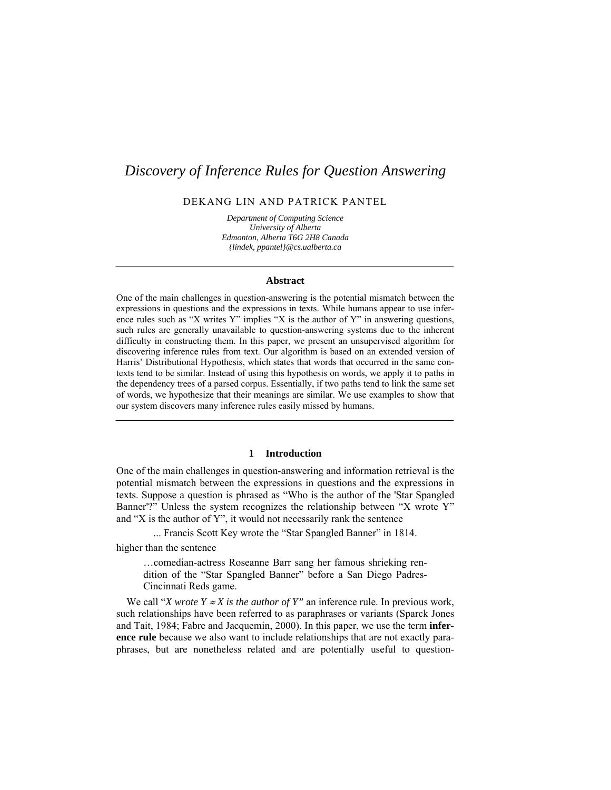# *Discovery of Inference Rules for Question Answering*

# DEKANG LIN AND PATRICK PANTEL

*Department of Computing Science University of Alberta Edmonton, Alberta T6G 2H8 Canada {lindek, ppantel}@cs.ualberta.ca* 

# **Abstract**

One of the main challenges in question-answering is the potential mismatch between the expressions in questions and the expressions in texts. While humans appear to use inference rules such as "X writes Y" implies "X is the author of Y" in answering questions, such rules are generally unavailable to question-answering systems due to the inherent difficulty in constructing them. In this paper, we present an unsupervised algorithm for discovering inference rules from text. Our algorithm is based on an extended version of Harris' Distributional Hypothesis, which states that words that occurred in the same contexts tend to be similar. Instead of using this hypothesis on words, we apply it to paths in the dependency trees of a parsed corpus. Essentially, if two paths tend to link the same set of words, we hypothesize that their meanings are similar. We use examples to show that our system discovers many inference rules easily missed by humans.

#### **1 Introduction**

One of the main challenges in question-answering and information retrieval is the potential mismatch between the expressions in questions and the expressions in texts. Suppose a question is phrased as "Who is the author of the 'Star Spangled Banner'?" Unless the system recognizes the relationship between "X wrote Y" and " $X$  is the author of Y", it would not necessarily rank the sentence

... Francis Scott Key wrote the "Star Spangled Banner" in 1814.

higher than the sentence

...comedian-actress Roseanne Barr sang her famous shrieking rendition of the "Star Spangled Banner" before a San Diego Padres-Cincinnati Reds game.

We call "*X wrote Y*  $\approx$ *X is the author of Y*" an inference rule. In previous work, such relationships have been referred to as paraphrases or variants (Sparck Jones and Tait, 1984; Fabre and Jacquemin, 2000). In this paper, we use the term **inference rule** because we also want to include relationships that are not exactly paraphrases, but are nonetheless related and are potentially useful to question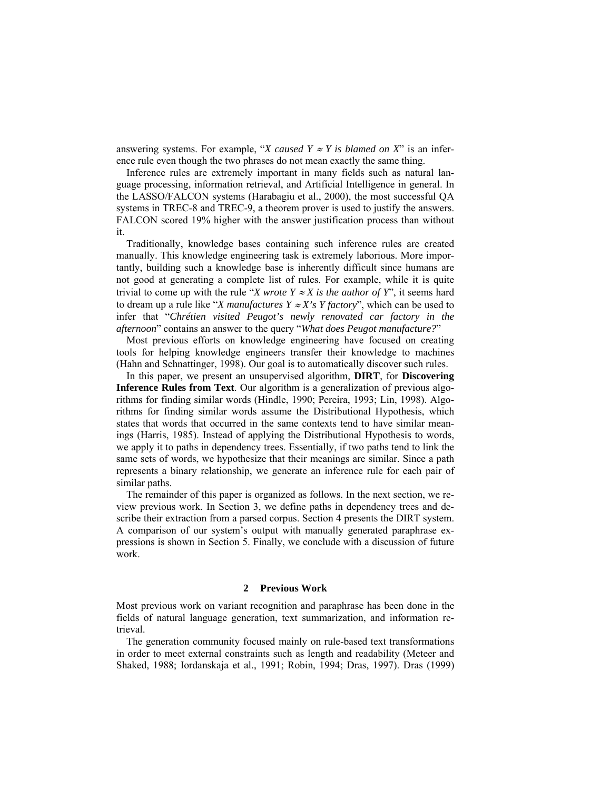answering systems. For example, "*X caused Y*  $\approx$  *Y is blamed on X*" is an inference rule even though the two phrases do not mean exactly the same thing.

Inference rules are extremely important in many fields such as natural language processing, information retrieval, and Artificial Intelligence in general. In the LASSO/FALCON systems (Harabagiu et al., 2000), the most successful QA systems in TREC-8 and TREC-9, a theorem prover is used to justify the answers. FALCON scored 19% higher with the answer justification process than without it.

Traditionally, knowledge bases containing such inference rules are created manually. This knowledge engineering task is extremely laborious. More importantly, building such a knowledge base is inherently difficult since humans are not good at generating a complete list of rules. For example, while it is quite trivial to come up with the rule *<sup><i>x*</sup></sup> *x wrote Y*  $\approx$  *X is the author of Y*<sup>*n*</sup>, it seems hard to dream up a rule like *''X manufactures Y*  $\approx$ *X's Y factory*'', which can be used to infer that "Chrétien visited Peugot's newly renovated car factory in the *afternoon*" contains an answer to the query "*What does Peugot manufacture?*"

Most previous efforts on knowledge engineering have focused on creating tools for helping knowledge engineers transfer their knowledge to machines (Hahn and Schnattinger, 1998). Our goal is to automatically discover such rules.

In this paper, we present an unsupervised algorithm, **DIRT**, for **Discovering Inference Rules from Text**. Our algorithm is a generalization of previous algorithms for finding similar words (Hindle, 1990; Pereira, 1993; Lin, 1998). Algorithms for finding similar words assume the Distributional Hypothesis, which states that words that occurred in the same contexts tend to have similar meanings (Harris, 1985). Instead of applying the Distributional Hypothesis to words, we apply it to paths in dependency trees. Essentially, if two paths tend to link the same sets of words, we hypothesize that their meanings are similar. Since a path represents a binary relationship, we generate an inference rule for each pair of similar paths.

The remainder of this paper is organized as follows. In the next section, we review previous work. In Section 3, we define paths in dependency trees and describe their extraction from a parsed corpus. Section 4 presents the DIRT system. A comparison of our system's output with manually generated paraphrase expressions is shown in Section 5. Finally, we conclude with a discussion of future work.

## **2 Previous Work**

Most previous work on variant recognition and paraphrase has been done in the fields of natural language generation, text summarization, and information retrieval.

The generation community focused mainly on rule-based text transformations in order to meet external constraints such as length and readability (Meteer and Shaked, 1988; Iordanskaja et al., 1991; Robin, 1994; Dras, 1997). Dras (1999)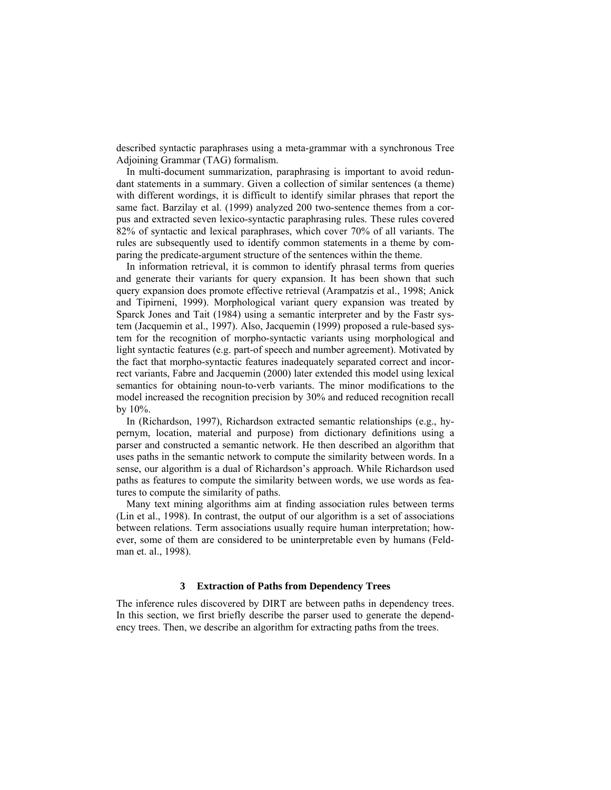described syntactic paraphrases using a meta-grammar with a synchronous Tree Adjoining Grammar (TAG) formalism.

In multi-document summarization, paraphrasing is important to avoid redundant statements in a summary. Given a collection of similar sentences (a theme) with different wordings, it is difficult to identify similar phrases that report the same fact. Barzilay et al. (1999) analyzed 200 two-sentence themes from a corpus and extracted seven lexico-syntactic paraphrasing rules. These rules covered 82% of syntactic and lexical paraphrases, which cover 70% of all variants. The rules are subsequently used to identify common statements in a theme by comparing the predicate-argument structure of the sentences within the theme.

In information retrieval, it is common to identify phrasal terms from queries and generate their variants for query expansion. It has been shown that such query expansion does promote effective retrieval (Arampatzis et al., 1998; Anick and Tipirneni, 1999). Morphological variant query expansion was treated by Sparck Jones and Tait (1984) using a semantic interpreter and by the Fastr system (Jacquemin et al., 1997). Also, Jacquemin (1999) proposed a rule-based system for the recognition of morpho-syntactic variants using morphological and light syntactic features (e.g. part-of speech and number agreement). Motivated by the fact that morpho-syntactic features inadequately separated correct and incorrect variants, Fabre and Jacquemin (2000) later extended this model using lexical semantics for obtaining noun-to-verb variants. The minor modifications to the model increased the recognition precision by 30% and reduced recognition recall by 10%.

In (Richardson, 1997), Richardson extracted semantic relationships (e.g., hypernym, location, material and purpose) from dictionary definitions using a parser and constructed a semantic network. He then described an algorithm that uses paths in the semantic network to compute the similarity between words. In a sense, our algorithm is a dual of Richardson's approach. While Richardson used paths as features to compute the similarity between words, we use words as features to compute the similarity of paths.

Many text mining algorithms aim at finding association rules between terms (Lin et al., 1998). In contrast, the output of our algorithm is a set of associations between relations. Term associations usually require human interpretation; however, some of them are considered to be uninterpretable even by humans (Feldman et. al., 1998).

## **3 Extraction of Paths from Dependency Trees**

The inference rules discovered by DIRT are between paths in dependency trees. In this section, we first briefly describe the parser used to generate the dependency trees. Then, we describe an algorithm for extracting paths from the trees.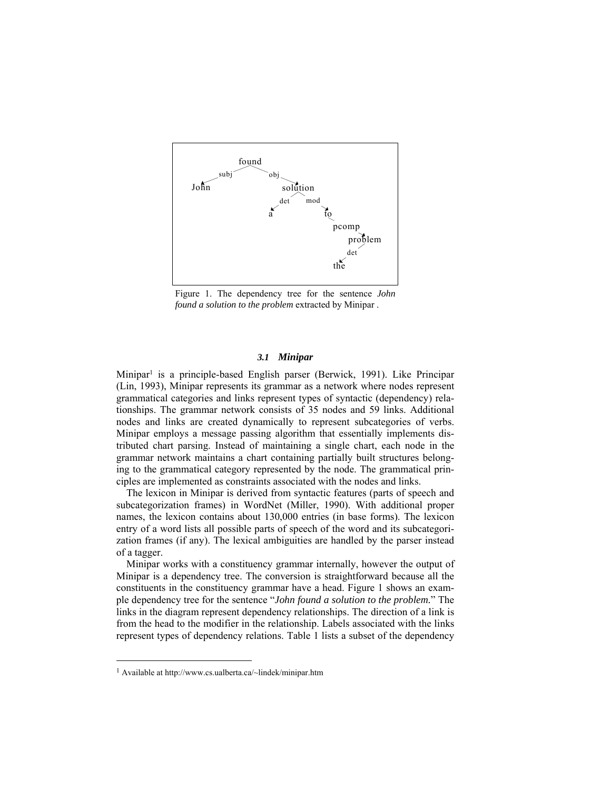

Figure 1. The dependency tree for the sentence *John found a solution to the problem* extracted by Minipar .

#### *3.1 Minipar*

Minipar1 is a principle-based English parser (Berwick, 1991). Like Principar (Lin, 1993), Minipar represents its grammar as a network where nodes represent grammatical categories and links represent types of syntactic (dependency) relationships. The grammar network consists of 35 nodes and 59 links. Additional nodes and links are created dynamically to represent subcategories of verbs. Minipar employs a message passing algorithm that essentially implements distributed chart parsing. Instead of maintaining a single chart, each node in the grammar network maintains a chart containing partially built structures belonging to the grammatical category represented by the node. The grammatical principles are implemented as constraints associated with the nodes and links.

The lexicon in Minipar is derived from syntactic features (parts of speech and subcategorization frames) in WordNet (Miller, 1990). With additional proper names, the lexicon contains about 130,000 entries (in base forms). The lexicon entry of a word lists all possible parts of speech of the word and its subcategorization frames (if any). The lexical ambiguities are handled by the parser instead of a tagger.

Minipar works with a constituency grammar internally, however the output of Minipar is a dependency tree. The conversion is straightforward because all the constituents in the constituency grammar have a head. Figure 1 shows an example dependency tree for the sentence "*John found a solution to the problem*." The links in the diagram represent dependency relationships. The direction of a link is from the head to the modifier in the relationship. Labels associated with the links represent types of dependency relations. Table 1 lists a subset of the dependency

l

<sup>1</sup> Available at http://www.cs.ualberta.ca/~lindek/minipar.htm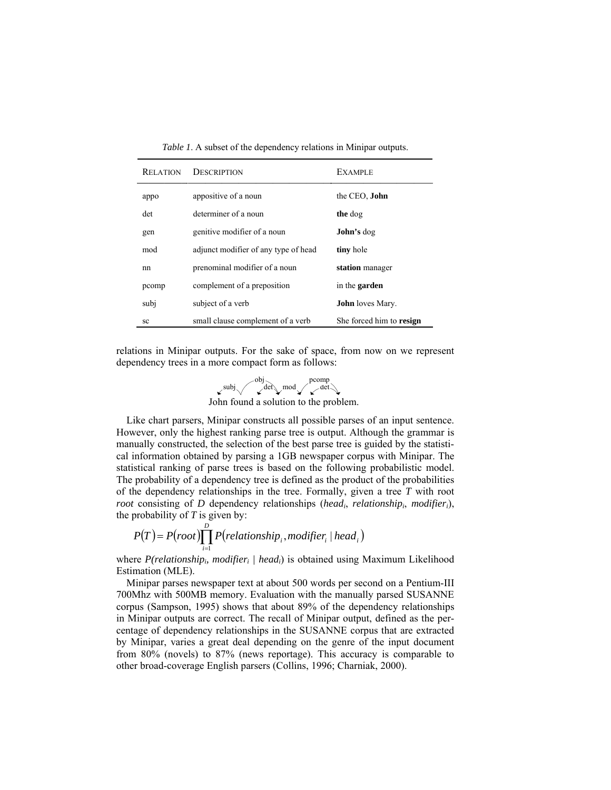| <b>RELATION</b> | <b>DESCRIPTION</b>                   | <b>EXAMPLE</b>           |  |
|-----------------|--------------------------------------|--------------------------|--|
| appo            | appositive of a noun                 | the CEO, John            |  |
| det             | determiner of a noun                 | the dog                  |  |
| gen             | genitive modifier of a noun          | John's dog               |  |
| mod             | adjunct modifier of any type of head | tiny hole                |  |
| nn              | prenominal modifier of a noun        | station manager          |  |
| pcomp           | complement of a preposition          | in the garden            |  |
| subj            | subject of a verb                    | <b>John</b> loves Mary.  |  |
| sc              | small clause complement of a verb    | She forced him to resign |  |

*Table 1*. A subset of the dependency relations in Minipar outputs.

relations in Minipar outputs. For the sake of space, from now on we represent dependency trees in a more compact form as follows:

$$
\mathcal{L}^{\text{subj}} \left\{\begin{array}{c}\text{obj} \\ \mathcal{L}^{\text{det}} \end{array}\right\} \text{mod} \left\{\begin{array}{c}\text{pcomp} \\ \mathcal{L}^{\text{det}} \end{array}\right\}
$$
\nJohn found a solution to the problem.

Like chart parsers, Minipar constructs all possible parses of an input sentence. However, only the highest ranking parse tree is output. Although the grammar is manually constructed, the selection of the best parse tree is guided by the statistical information obtained by parsing a 1GB newspaper corpus with Minipar. The statistical ranking of parse trees is based on the following probabilistic model. The probability of a dependency tree is defined as the product of the probabilities of the dependency relationships in the tree. Formally, given a tree *T* with root *root* consisting of *D* dependency relationships (*head<sub>i</sub>*, *relationship<sub>i</sub>*, *modifier<sub>i</sub>*), the probability of  $T$  is given by:

$$
P(T) = P(root) \prod_{i=1}^{D} P(relationship_i, modifier_i | head_i)
$$

where *P(relationship<sub>i</sub>, modifier<sub>i</sub> | head<sub>i</sub>)* is obtained using Maximum Likelihood Estimation (MLE).

Minipar parses newspaper text at about 500 words per second on a Pentium-III 700Mhz with 500MB memory. Evaluation with the manually parsed SUSANNE corpus (Sampson, 1995) shows that about 89% of the dependency relationships in Minipar outputs are correct. The recall of Minipar output, defined as the percentage of dependency relationships in the SUSANNE corpus that are extracted by Minipar, varies a great deal depending on the genre of the input document from 80% (novels) to 87% (news reportage). This accuracy is comparable to other broad-coverage English parsers (Collins, 1996; Charniak, 2000).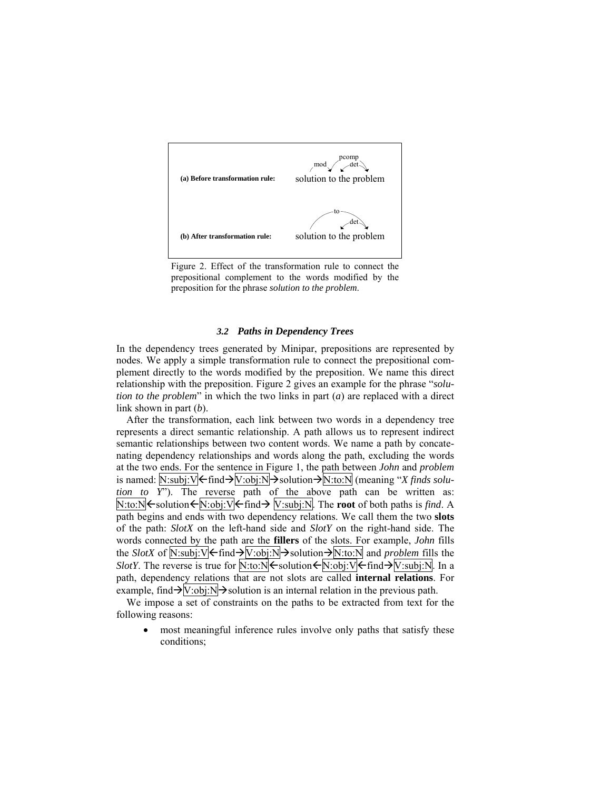

Figure 2. Effect of the transformation rule to connect the prepositional complement to the words modified by the preposition for the phrase *solution to the problem*.

## *3.2 Paths in Dependency Trees*

In the dependency trees generated by Minipar, prepositions are represented by nodes. We apply a simple transformation rule to connect the prepositional complement directly to the words modified by the preposition. We name this direct relationship with the preposition. Figure 2 gives an example for the phrase "solu*tion to the problem*<sup>"</sup> in which the two links in part (*a*) are replaced with a direct link shown in part (*b*).

After the transformation, each link between two words in a dependency tree represents a direct semantic relationship. A path allows us to represent indirect semantic relationships between two content words. We name a path by concatenating dependency relationships and words along the path, excluding the words at the two ends. For the sentence in Figure 1, the path between *John* and *problem* is named:  $N:subj:V$   $\leftarrow$  find  $\rightarrow$   $V:obj:N$   $\rightarrow$  solution  $\rightarrow$   $N:to:N$  (meaning *<i><sup>x</sup>X finds solution to Y*<sup>n</sup>). The reverse path of the above path can be written as: N:to:N  $\leq$  solution  $\leq$  N:obj:V  $\leq$  find  $\geq$  V:subj:N. The **root** of both paths is *find*. A path begins and ends with two dependency relations. We call them the two **slots** of the path: *SlotX* on the left-hand side and *SlotY* on the right-hand side. The words connected by the path are the **fillers** of the slots. For example, *John* fills the *SlotX* of  $\overline{N:subj:V}$  find  $\rightarrow \overline{V:obj:N}$  solution  $\rightarrow \overline{N:to:N}$  and *problem* fills the *SlotY*. The reverse is true for  $\overline{N:to:N}$  solution  $\leftarrow \overline{N:obj:N}$  find  $\rightarrow \overline{V:subj:N}$ . In a path, dependency relations that are not slots are called **internal relations**. For example, find  $\rightarrow$  V:obj:N $\rightarrow$  solution is an internal relation in the previous path.

We impose a set of constraints on the paths to be extracted from text for the following reasons:

• most meaningful inference rules involve only paths that satisfy these conditions;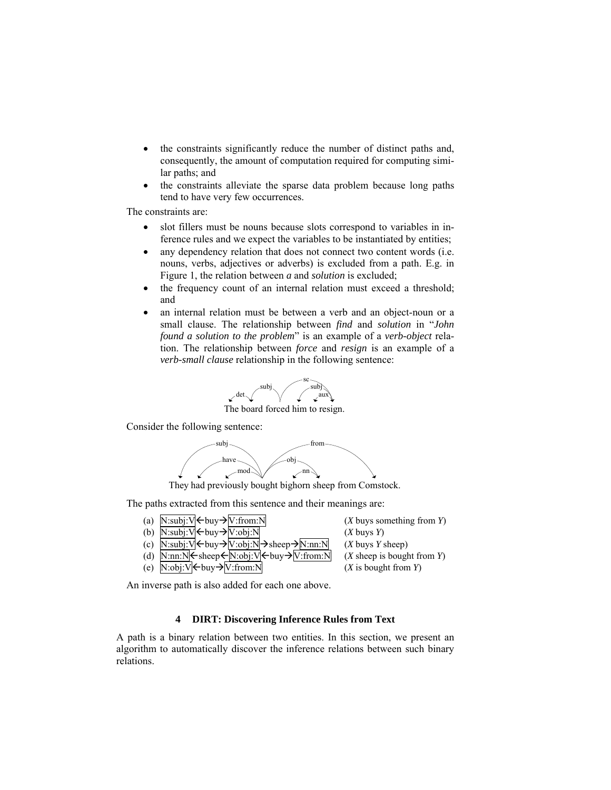- the constraints significantly reduce the number of distinct paths and, consequently, the amount of computation required for computing similar paths; and
- the constraints alleviate the sparse data problem because long paths tend to have very few occurrences.

The constraints are:

- slot fillers must be nouns because slots correspond to variables in inference rules and we expect the variables to be instantiated by entities;
- any dependency relation that does not connect two content words (i.e. nouns, verbs, adjectives or adverbs) is excluded from a path. E.g. in Figure 1, the relation between *a* and *solution* is excluded;
- the frequency count of an internal relation must exceed a threshold; and
- an internal relation must be between a verb and an object-noun or a small clause. The relationship between *find* and *solution* in *"John found a solution to the problem*î is an example of a *verb-object* relation. The relationship between *force* and *resign* is an example of a *verb-small clause* relationship in the following sentence:



Consider the following sentence:



They had previously bought bighorn sheep from Comstock.

The paths extracted from this sentence and their meanings are:

- (a)  $\overline{N:subj:V}$  buy  $\rightarrow$   $\overline{V:from:N}$  (*X* buys something from *Y*)
- (b)  $N:subj:V$  buy  $\rightarrow$   $V:obj:N$  (*X* buys *Y*)
- (c)  $\overline{\text{N:subj}:V} \leftarrow \text{buy} \rightarrow \overline{\text{V:obj}:N} \rightarrow \text{sheep} \rightarrow \overline{\text{N:nn:N}}$  (*X* buys *Y* sheep)
- (d)  $\overline{N:nn:N}$  sheep  $\leftarrow \overline{N:obj:N}$   $\leftarrow$  buy  $\rightarrow \overline{V:from:N}$  (*X* sheep is bought from *Y*)
- (e)  $\overline{N:obj:V}$  buy  $\rightarrow$  V:from:N (*X* is bought from *Y*)
- 

An inverse path is also added for each one above.

# **4 DIRT: Discovering Inference Rules from Text**

A path is a binary relation between two entities. In this section, we present an algorithm to automatically discover the inference relations between such binary relations.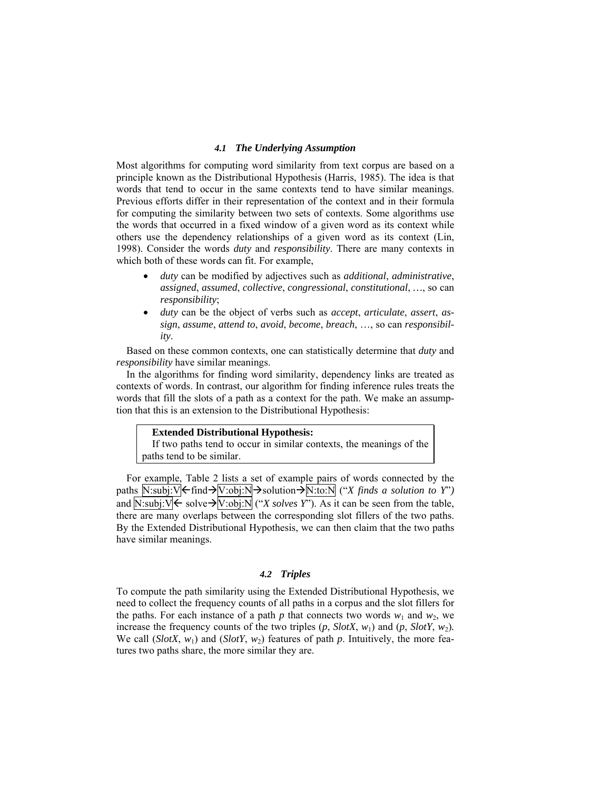# *4.1 The Underlying Assumption*

Most algorithms for computing word similarity from text corpus are based on a principle known as the Distributional Hypothesis (Harris, 1985). The idea is that words that tend to occur in the same contexts tend to have similar meanings. Previous efforts differ in their representation of the context and in their formula for computing the similarity between two sets of contexts. Some algorithms use the words that occurred in a fixed window of a given word as its context while others use the dependency relationships of a given word as its context (Lin, 1998). Consider the words *duty* and *responsibility*. There are many contexts in which both of these words can fit. For example,

- *duty* can be modified by adjectives such as *additional*, *administrative*, *assigned*, *assumed*, *collective*, *congressional*, *constitutional*, *…*, so can *responsibility*;
- *duty* can be the object of verbs such as *accept*, *articulate*, *assert*, *as* $sign, assume, attend to, avoid, become, breach, ..., so can responsiblei-*l*$ *ity*.

Based on these common contexts, one can statistically determine that *duty* and *responsibility* have similar meanings.

In the algorithms for finding word similarity, dependency links are treated as contexts of words. In contrast, our algorithm for finding inference rules treats the words that fill the slots of a path as a context for the path. We make an assumption that this is an extension to the Distributional Hypothesis:

#### **Extended Distributional Hypothesis:**

If two paths tend to occur in similar contexts, the meanings of the paths tend to be similar.

For example, Table 2 lists a set of example pairs of words connected by the paths  $\overline{N:subj:V}$  find  $\rightarrow$   $\overline{V:obj:N}$  solution  $\rightarrow$   $\overline{N:to:N}$  ("*X finds a solution to Y*"*)* and  $N:subj:V$  solve  $\rightarrow$   $V:obj:N$  ("*X solves Y*"). As it can be seen from the table, there are many overlaps between the corresponding slot fillers of the two paths. By the Extended Distributional Hypothesis, we can then claim that the two paths have similar meanings.

#### *4.2 Triples*

To compute the path similarity using the Extended Distributional Hypothesis, we need to collect the frequency counts of all paths in a corpus and the slot fillers for the paths. For each instance of a path  $p$  that connects two words  $w_1$  and  $w_2$ , we increase the frequency counts of the two triples  $(p, SlotX, w_1)$  and  $(p, SlotY, w_2)$ . We call  $(SlotX, w_1)$  and  $(SlotY, w_2)$  features of path *p*. Intuitively, the more features two paths share, the more similar they are.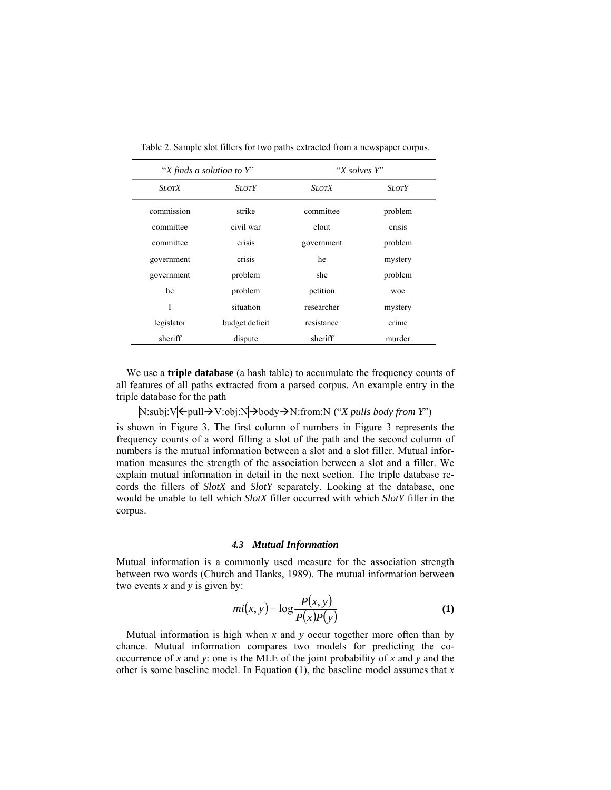| "X finds a solution to $Y$ " |                | "X solves $Y'$ |              |  |
|------------------------------|----------------|----------------|--------------|--|
| <b>SLOTX</b>                 | <b>SLOTY</b>   | <i>SLOTX</i>   | <b>SLOTY</b> |  |
| commission                   | strike         | committee      | problem      |  |
| committee                    | civil war      | clout          | crisis       |  |
| committee                    | crisis         | government     | problem      |  |
| government                   | crisis         | he             | mystery      |  |
| government                   | problem        | she            | problem      |  |
| he                           | problem        | petition       | woe          |  |
| I                            | situation      | researcher     | mystery      |  |
| legislator                   | budget deficit | resistance     | crime        |  |
| sheriff                      | dispute        | sheriff        | murder       |  |

Table 2. Sample slot fillers for two paths extracted from a newspaper corpus.

We use a **triple database** (a hash table) to accumulate the frequency counts of all features of all paths extracted from a parsed corpus. An example entry in the triple database for the path

 $\overline{N:subi:V}$  pull $\rightarrow \overline{V:obi:N} \rightarrow body \rightarrow \overline{N:from:N}$  ("*X pulls body from Y*")

is shown in Figure 3. The first column of numbers in Figure 3 represents the frequency counts of a word filling a slot of the path and the second column of numbers is the mutual information between a slot and a slot filler. Mutual information measures the strength of the association between a slot and a filler. We explain mutual information in detail in the next section. The triple database records the fillers of *SlotX* and *SlotY* separately. Looking at the database, one would be unable to tell which *SlotX* filler occurred with which *SlotY* filler in the corpus.

#### *4.3 Mutual Information*

Mutual information is a commonly used measure for the association strength between two words (Church and Hanks, 1989). The mutual information between two events *x* and *y* is given by:

$$
mi(x, y) = \log \frac{P(x, y)}{P(x)P(y)}\tag{1}
$$

Mutual information is high when *x* and *y* occur together more often than by chance. Mutual information compares two models for predicting the cooccurrence of *x* and *y*: one is the MLE of the joint probability of *x* and *y* and the other is some baseline model. In Equation (1), the baseline model assumes that *x*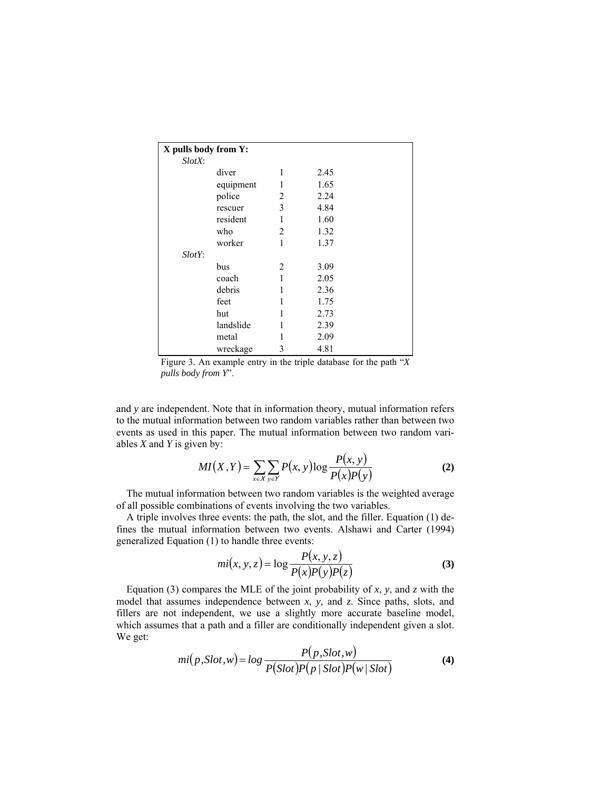| X pulls body from Y: |           |   |      |  |  |
|----------------------|-----------|---|------|--|--|
| SlotX:               |           |   |      |  |  |
|                      | diver     | 1 | 2.45 |  |  |
|                      | equipment | 1 | 1.65 |  |  |
|                      | police    | 2 | 2.24 |  |  |
|                      | rescuer   | 3 | 4.84 |  |  |
|                      | resident  |   | 1.60 |  |  |
|                      | who       | 2 | 1.32 |  |  |
|                      | worker    | 1 | 1.37 |  |  |
| SlotY:               |           |   |      |  |  |
|                      | bus       | 2 | 3.09 |  |  |
|                      | coach     | 1 | 2.05 |  |  |
|                      | debris    |   | 2.36 |  |  |
|                      | feet      |   | 1.75 |  |  |
|                      | hut       |   | 2.73 |  |  |
|                      | landslide |   | 2.39 |  |  |
|                      | metal     |   | 2.09 |  |  |
|                      | wreckage  | 3 | 4.81 |  |  |

Figure 3. An example entry in the triple database for the path  $X$ *pulls body from Y*î.

and *y* are independent. Note that in information theory, mutual information refers to the mutual information between two random variables rather than between two events as used in this paper. The mutual information between two random variables *X* and *Y* is given by:

$$
MI(X,Y) = \sum_{x \in X} \sum_{y \in Y} P(x, y) \log \frac{P(x, y)}{P(x)P(y)}
$$
(2)

The mutual information between two random variables is the weighted average of all possible combinations of events involving the two variables.

A triple involves three events: the path, the slot, and the filler. Equation (1) defines the mutual information between two events. Alshawi and Carter (1994) generalized Equation (1) to handle three events:

$$
mi(x, y, z) = \log \frac{P(x, y, z)}{P(x)P(y)P(z)}
$$
(3)

Equation (3) compares the MLE of the joint probability of *x*, *y*, and *z* with the model that assumes independence between *x*, *y*, and *z*. Since paths, slots, and fillers are not independent, we use a slightly more accurate baseline model, which assumes that a path and a filler are conditionally independent given a slot. We get:

$$
mi(p, Slot, w) = log \frac{P(p, Slot, w)}{P(Slot)P(p / Slot)P(w / Slot)}
$$
(4)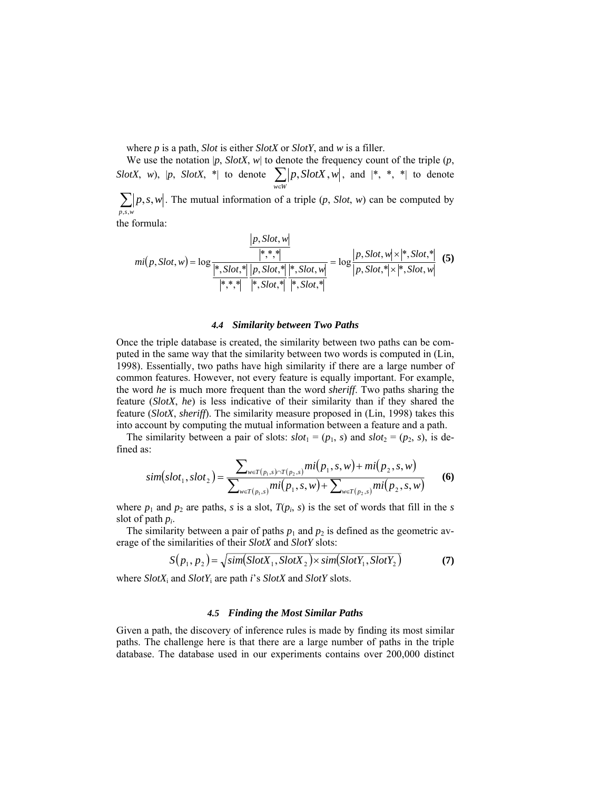where *p* is a path, *Slot* is either *SlotX* or *SlotY*, and *w* is a filler.

We use the notation  $|p$ , *SlotX*,  $w|$  to denote the frequency count of the triple  $(p,$ *SlotX*, *w*),  $|p$ , *SlotX*, \*| to denote  $\sum_{w \in W} |p$ , *SlotX*, *w*|, and |\*, \*, \*| to denote  $\sum_{p,s,w}$  *p*, *s*, *w* ,s,  $S, w$ . The mutual information of a triple (*p*, *Slot*, *w*) can be computed by the formula:

$$
mi(p, Slot, w) = \log \frac{|p, Slot, w|}{\frac{*, Slot, *|}{|P, Slot, *|} |p, Slot, *|}, \log \log \frac{|p, Slot, w| \times |*, Slot, *|}{|p, Slot, *|} \tag{5}
$$

#### *4.4 Similarity between Two Paths*

Once the triple database is created, the similarity between two paths can be computed in the same way that the similarity between two words is computed in (Lin, 1998). Essentially, two paths have high similarity if there are a large number of common features. However, not every feature is equally important. For example, the word *he* is much more frequent than the word *sheriff*. Two paths sharing the feature (*SlotX*, *he*) is less indicative of their similarity than if they shared the feature (*SlotX*, *sheriff*). The similarity measure proposed in (Lin, 1998) takes this into account by computing the mutual information between a feature and a path.

The similarity between a pair of slots:  $slot_1 = (p_1, s)$  and  $slot_2 = (p_2, s)$ , is defined as:

$$
sim(slot_1, slot_2) = \frac{\sum_{w \in T(p_1, s) \cap T(p_2, s)} mi(p_1, s, w) + mi(p_2, s, w)}{\sum_{w \in T(p_1, s)} mi(p_1, s, w) + \sum_{w \in T(p_2, s)} mi(p_2, s, w)}
$$
(6)

where  $p_1$  and  $p_2$  are paths, *s* is a slot,  $T(p_i, s)$  is the set of words that fill in the *s* slot of path *pi*.

The similarity between a pair of paths  $p_1$  and  $p_2$  is defined as the geometric average of the similarities of their *SlotX* and *SlotY* slots:

$$
S(p_1, p_2) = \sqrt{\text{sim}(\text{SlotX}_1, \text{SlotX}_2)} \times \text{sim}(\text{SlotY}_1, \text{SlotY}_2)
$$
 (7)

where *SlotX*i and *SlotY*i are path *i*ís *SlotX* and *SlotY* slots.

## *4.5 Finding the Most Similar Paths*

Given a path, the discovery of inference rules is made by finding its most similar paths. The challenge here is that there are a large number of paths in the triple database. The database used in our experiments contains over 200,000 distinct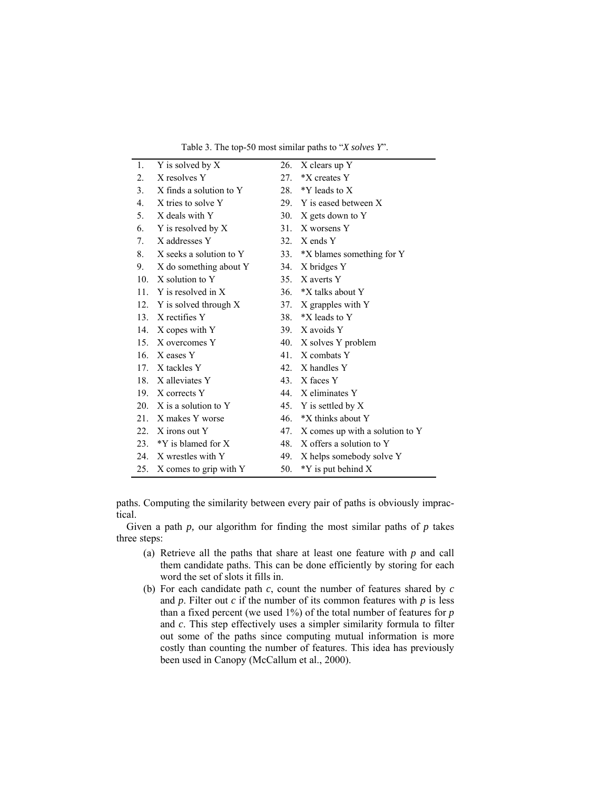| 1.             | Y is solved by X        | 26. | X clears up Y                   |
|----------------|-------------------------|-----|---------------------------------|
| 2.             | X resolves Y            | 27. | <i>*X</i> creates Y             |
| 3 <sub>1</sub> | X finds a solution to Y | 28. | $*Y$ leads to X                 |
| 4.             | X tries to solve Y      | 29. | Y is eased between X            |
| 5.             | X deals with Y          | 30. | X gets down to Y                |
| 6.             | Y is resolved by X      | 31. | X worsens Y                     |
| 7.             | X addresses Y           | 32. | X ends Y                        |
| 8.             | X seeks a solution to Y | 33. | *X blames something for Y       |
| 9.             | X do something about Y  | 34. | X bridges Y                     |
| 10.            | X solution to Y         | 35. | X averts Y                      |
| 11.            | Y is resolved in X      | 36. | *X talks about Y                |
| 12.            | Y is solved through X   | 37. | X grapples with Y               |
| 13.            | X rectifies Y           | 38. | *X leads to Y                   |
| 14.            | X copes with Y          | 39. | X avoids Y                      |
| 15.            | X overcomes Y           | 40. | X solves Y problem              |
| 16.            | X eases Y               | 41. | X combats Y                     |
| 17.            | X tackles Y             | 42. | X handles Y                     |
| 18.            | X alleviates Y          | 43. | X faces Y                       |
| 19.            | X corrects Y            | 44. | X eliminates Y                  |
| 20.            | X is a solution to Y    | 45. | Y is settled by X               |
| 21.            | X makes Y worse         | 46. | *X thinks about Y               |
| 22             | X irons out Y           | 47. | X comes up with a solution to Y |
| 23.            | $*Y$ is blamed for X    | 48. | X offers a solution to Y        |
| 24.            | X wrestles with Y       | 49. | X helps somebody solve Y        |
| 25.            | X comes to grip with Y  | 50. | $*Y$ is put behind X            |

Table 3. The top-50 most similar paths to ì*X solves Y*î.

j.

paths. Computing the similarity between every pair of paths is obviously impractical.

Given a path  $p$ , our algorithm for finding the most similar paths of  $p$  takes three steps:

- (a) Retrieve all the paths that share at least one feature with *p* and call them candidate paths. This can be done efficiently by storing for each word the set of slots it fills in.
- (b) For each candidate path *c*, count the number of features shared by *c* and  $p$ . Filter out  $c$  if the number of its common features with  $p$  is less than a fixed percent (we used 1%) of the total number of features for *p* and *c*. This step effectively uses a simpler similarity formula to filter out some of the paths since computing mutual information is more costly than counting the number of features. This idea has previously been used in Canopy (McCallum et al., 2000).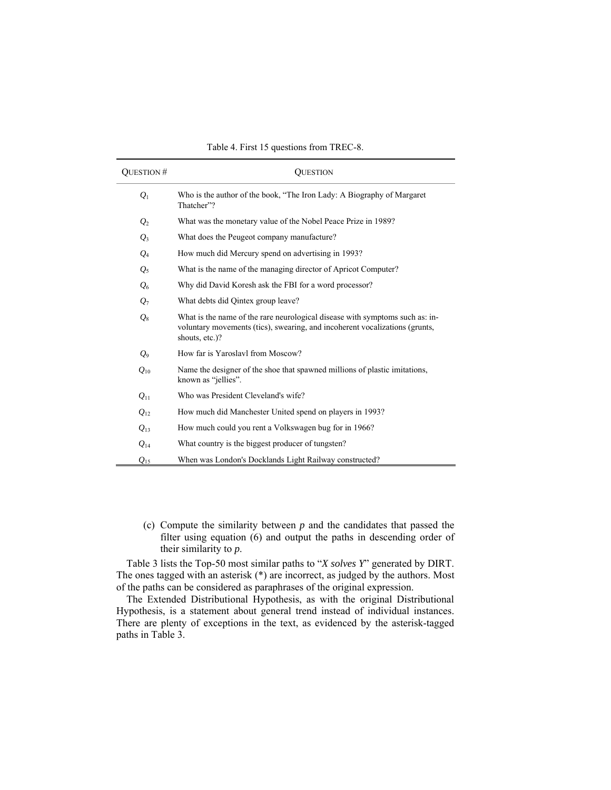| QUESTION #     | OUESTION                                                                                                                                                                      |  |  |
|----------------|-------------------------------------------------------------------------------------------------------------------------------------------------------------------------------|--|--|
| $Q_1$          | Who is the author of the book, "The Iron Lady: A Biography of Margaret<br>Thatcher"?                                                                                          |  |  |
| Q <sub>2</sub> | What was the monetary value of the Nobel Peace Prize in 1989?                                                                                                                 |  |  |
| $Q_3$          | What does the Peugeot company manufacture?                                                                                                                                    |  |  |
| $Q_4$          | How much did Mercury spend on advertising in 1993?                                                                                                                            |  |  |
| $Q_5$          | What is the name of the managing director of Apricot Computer?                                                                                                                |  |  |
| $Q_6$          | Why did David Koresh ask the FBI for a word processor?                                                                                                                        |  |  |
| $Q_7$          | What debts did Qintex group leave?                                                                                                                                            |  |  |
| $Q_8$          | What is the name of the rare neurological disease with symptoms such as: in-<br>voluntary movements (tics), swearing, and incoherent vocalizations (grunts,<br>shouts, etc.)? |  |  |
| $Q_9$          | How far is Yaroslavl from Moscow?                                                                                                                                             |  |  |
| $Q_{10}$       | Name the designer of the shoe that spawned millions of plastic imitations,<br>known as "jellies".                                                                             |  |  |
| $Q_{11}$       | Who was President Cleveland's wife?                                                                                                                                           |  |  |
| $Q_{12}$       | How much did Manchester United spend on players in 1993?                                                                                                                      |  |  |
| $Q_{13}$       | How much could you rent a Volkswagen bug for in 1966?                                                                                                                         |  |  |
| $Q_{14}$       | What country is the biggest producer of tungsten?                                                                                                                             |  |  |
| $Q_{15}$       | When was London's Docklands Light Railway constructed?                                                                                                                        |  |  |

Table 4. First 15 questions from TREC-8.

(c) Compute the similarity between *p* and the candidates that passed the filter using equation (6) and output the paths in descending order of their similarity to *p*.

Table 3 lists the Top-50 most similar paths to ì*X solves Y*î generated by DIRT. The ones tagged with an asterisk (\*) are incorrect, as judged by the authors. Most of the paths can be considered as paraphrases of the original expression.

The Extended Distributional Hypothesis, as with the original Distributional Hypothesis, is a statement about general trend instead of individual instances. There are plenty of exceptions in the text, as evidenced by the asterisk-tagged paths in Table 3.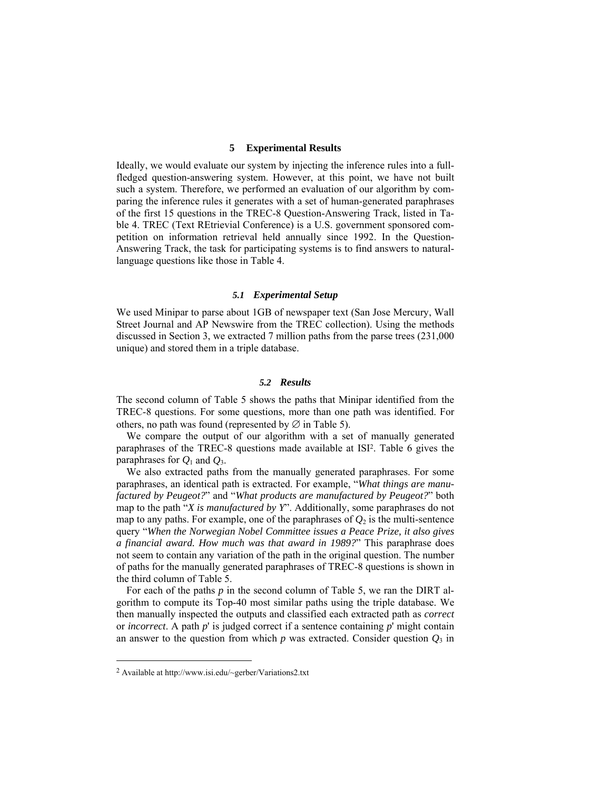# **5 Experimental Results**

Ideally, we would evaluate our system by injecting the inference rules into a fullfledged question-answering system. However, at this point, we have not built such a system. Therefore, we performed an evaluation of our algorithm by comparing the inference rules it generates with a set of human-generated paraphrases of the first 15 questions in the TREC-8 Question-Answering Track, listed in Table 4. TREC (Text REtrievial Conference) is a U.S. government sponsored competition on information retrieval held annually since 1992. In the Question-Answering Track, the task for participating systems is to find answers to naturallanguage questions like those in Table 4.

# *5.1 Experimental Setup*

We used Minipar to parse about 1GB of newspaper text (San Jose Mercury, Wall Street Journal and AP Newswire from the TREC collection). Using the methods discussed in Section 3, we extracted 7 million paths from the parse trees (231,000 unique) and stored them in a triple database.

## *5.2 Results*

The second column of Table 5 shows the paths that Minipar identified from the TREC-8 questions. For some questions, more than one path was identified. For others, no path was found (represented by  $\varnothing$  in Table 5).

We compare the output of our algorithm with a set of manually generated paraphrases of the TREC-8 questions made available at ISI2. Table 6 gives the paraphrases for  $Q_1$  and  $Q_3$ .

We also extracted paths from the manually generated paraphrases. For some paraphrases, an identical path is extracted. For example, *"What things are manufactured by Peugeot?*" and "*What products are manufactured by Peugeot?*" both map to the path "*X* is *manufactured by Y*". Additionally, some paraphrases do not map to any paths. For example, one of the paraphrases of  $Q_2$  is the multi-sentence query ì*When the Norwegian Nobel Committee issues a Peace Prize, it also gives a financial award. How much was that award in 1989?*î This paraphrase does not seem to contain any variation of the path in the original question. The number of paths for the manually generated paraphrases of TREC-8 questions is shown in the third column of Table 5.

For each of the paths *p* in the second column of Table 5, we ran the DIRT algorithm to compute its Top-40 most similar paths using the triple database. We then manually inspected the outputs and classified each extracted path as *correct* or *incorrect*. A path *p*' is judged correct if a sentence containing *p*' might contain an answer to the question from which  $p$  was extracted. Consider question  $Q_3$  in

<sup>2</sup> Available at http://www.isi.edu/~gerber/Variations2.txt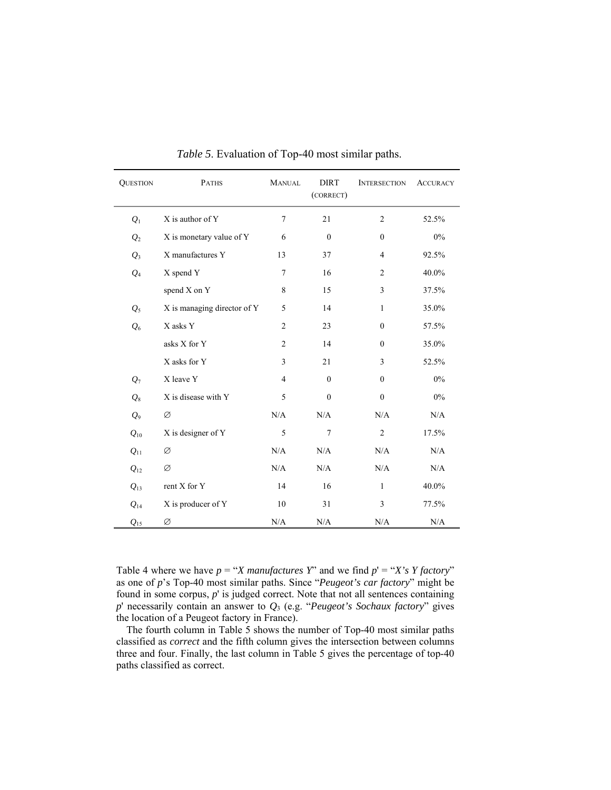| <b>QUESTION</b> | <b>PATHS</b>                | <b>MANUAL</b>  | <b>DIRT</b><br>(CORRECT) | <b>INTERSECTION</b> | <b>ACCURACY</b> |
|-----------------|-----------------------------|----------------|--------------------------|---------------------|-----------------|
| $Q_1$           | X is author of Y            | $\overline{7}$ | 21                       | $\overline{2}$      | 52.5%           |
| Q <sub>2</sub>  | X is monetary value of Y    | 6              | $\mathbf{0}$             | $\mathbf{0}$        | $0\%$           |
| $Q_3$           | X manufactures Y            | 13             | 37                       | $\overline{4}$      | 92.5%           |
| $Q_4$           | X spend Y                   | $\overline{7}$ | 16                       | $\overline{c}$      | 40.0%           |
|                 | spend X on Y                | 8              | 15                       | 3                   | 37.5%           |
| $Q_5$           | X is managing director of Y | 5              | 14                       | $\mathbf{1}$        | 35.0%           |
| $Q_6$           | X asks Y                    | $\overline{2}$ | 23                       | $\mathbf{0}$        | 57.5%           |
|                 | asks X for Y                | $\overline{2}$ | 14                       | $\mathbf{0}$        | 35.0%           |
|                 | X asks for Y                | 3              | 21                       | 3                   | 52.5%           |
| $Q_7$           | X leave Y                   | $\overline{4}$ | $\mathbf{0}$             | $\boldsymbol{0}$    | $0\%$           |
| $Q_8$           | X is disease with Y         | 5              | $\mathbf{0}$             | $\boldsymbol{0}$    | $0\%$           |
| $Q_9$           | Ø                           | N/A            | N/A                      | N/A                 | N/A             |
| $Q_{10}$        | X is designer of Y          | 5              | $\overline{7}$           | $\overline{2}$      | 17.5%           |
| $Q_{11}$        | Ø                           | N/A            | N/A                      | N/A                 | N/A             |
| $Q_{12}$        | Ø                           | N/A            | N/A                      | N/A                 | N/A             |
| $Q_{13}$        | rent X for Y                | 14             | 16                       | $\mathbf{1}$        | 40.0%           |
| $Q_{14}$        | X is producer of Y          | 10             | 31                       | 3                   | 77.5%           |
| $Q_{15}$        | Ø                           | N/A            | N/A                      | N/A                 | N/A             |

*Table 5*. Evaluation of Top-40 most similar paths.

Table 4 where we have  $p = "X$  manufactures Y" and we find  $p' = "X's Y factory"$ as one of *p*'s Top-40 most similar paths. Since "Peugeot's car factory" might be found in some corpus, *p*' is judged correct. Note that not all sentences containing *p*' necessarily contain an answer to  $Q_3$  (e.g. *"Peugeot's Sochaux factory*" gives the location of a Peugeot factory in France).

The fourth column in Table 5 shows the number of Top-40 most similar paths classified as *correct* and the fifth column gives the intersection between columns three and four. Finally, the last column in Table 5 gives the percentage of top-40 paths classified as correct.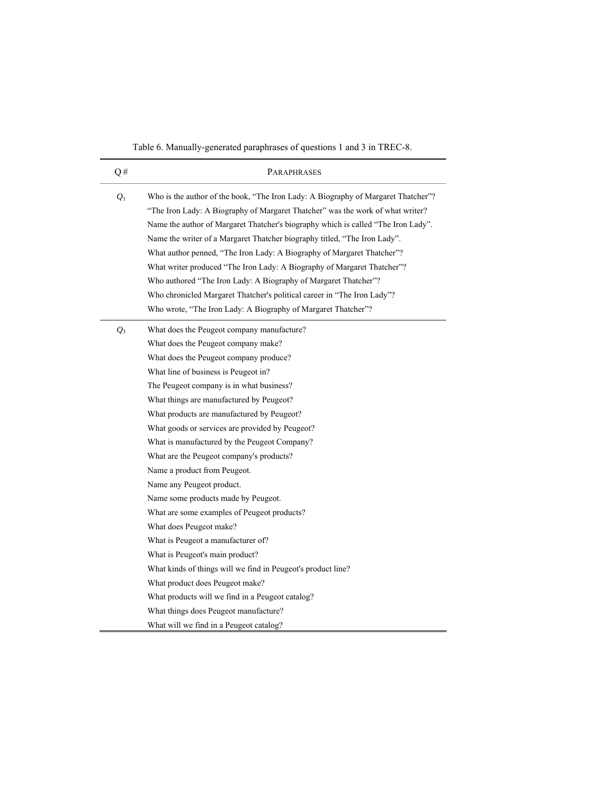| Q#             | <b>PARAPHRASES</b>                                                                |
|----------------|-----------------------------------------------------------------------------------|
| Q <sub>1</sub> | Who is the author of the book, "The Iron Lady: A Biography of Margaret Thatcher"? |
|                | "The Iron Lady: A Biography of Margaret Thatcher" was the work of what writer?    |
|                | Name the author of Margaret Thatcher's biography which is called "The Iron Lady". |
|                | Name the writer of a Margaret Thatcher biography titled, "The Iron Lady".         |
|                | What author penned, "The Iron Lady: A Biography of Margaret Thatcher"?            |
|                | What writer produced "The Iron Lady: A Biography of Margaret Thatcher"?           |
|                | Who authored "The Iron Lady: A Biography of Margaret Thatcher"?                   |
|                | Who chronicled Margaret Thatcher's political career in "The Iron Lady"?           |
|                | Who wrote, "The Iron Lady: A Biography of Margaret Thatcher"?                     |
| $Q_3$          | What does the Peugeot company manufacture?                                        |
|                | What does the Peugeot company make?                                               |
|                | What does the Peugeot company produce?                                            |
|                | What line of business is Peugeot in?                                              |
|                | The Peugeot company is in what business?                                          |
|                | What things are manufactured by Peugeot?                                          |
|                | What products are manufactured by Peugeot?                                        |
|                | What goods or services are provided by Peugeot?                                   |
|                | What is manufactured by the Peugeot Company?                                      |
|                | What are the Peugeot company's products?                                          |
|                | Name a product from Peugeot.                                                      |
|                | Name any Peugeot product.                                                         |
|                | Name some products made by Peugeot.                                               |
|                | What are some examples of Peugeot products?                                       |
|                | What does Peugeot make?                                                           |
|                | What is Peugeot a manufacturer of?                                                |
|                | What is Peugeot's main product?                                                   |
|                | What kinds of things will we find in Peugeot's product line?                      |
|                | What product does Peugeot make?                                                   |
|                | What products will we find in a Peugeot catalog?                                  |
|                | What things does Peugeot manufacture?                                             |
|                | What will we find in a Peugeot catalog?                                           |

Table 6. Manually-generated paraphrases of questions 1 and 3 in TREC-8.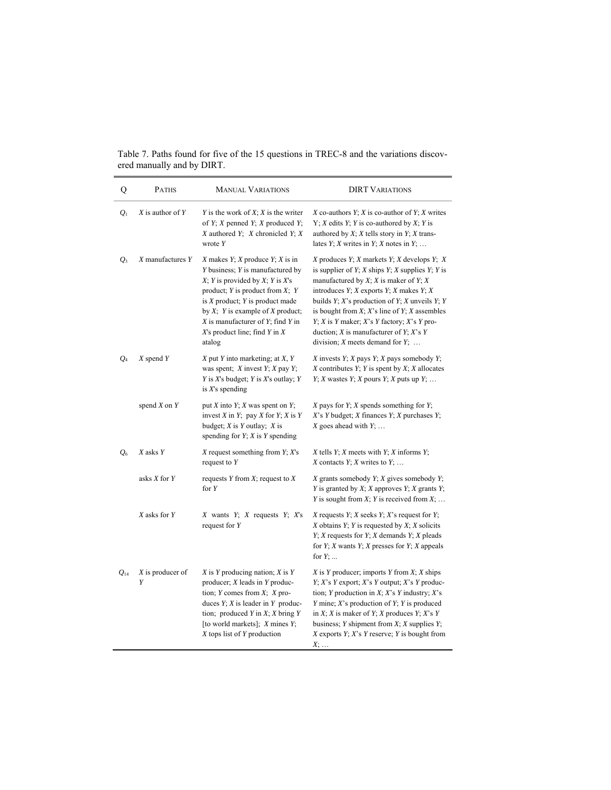| Q              | <b>PATHS</b>            | <b>MANUAL VARIATIONS</b>                                                                                                                                                                                                                                                                                                                | <b>DIRT VARIATIONS</b>                                                                                                                                                                                                                                                                                                                                                                                                                                                                                       |
|----------------|-------------------------|-----------------------------------------------------------------------------------------------------------------------------------------------------------------------------------------------------------------------------------------------------------------------------------------------------------------------------------------|--------------------------------------------------------------------------------------------------------------------------------------------------------------------------------------------------------------------------------------------------------------------------------------------------------------------------------------------------------------------------------------------------------------------------------------------------------------------------------------------------------------|
| Q <sub>1</sub> | $X$ is author of $Y$    | Y is the work of $X$ ; $X$ is the writer<br>of $Y$ ; $X$ penned $Y$ ; $X$ produced $Y$ ;<br>$X$ authored $Y$ ; $X$ chronicled $Y$ ; $X$<br>wrote $Y$                                                                                                                                                                                    | X co-authors $Y$ ; X is co-author of $Y$ ; X writes<br>$Y$ ; X edits Y; Y is co-authored by X; Y is<br>authored by $X$ ; $X$ tells story in $Y$ ; $X$ trans-<br>lates $Y$ ; $X$ writes in $Y$ ; $X$ notes in $Y$ ;                                                                                                                                                                                                                                                                                           |
| $Q_3$          | $X$ manufactures $Y$    | X makes $Y$ ; X produce $Y$ ; X is in<br>Y business; Y is manufactured by<br>$X$ ; Y is provided by $X$ ; Y is $X$ 's<br>product; $Y$ is product from $X$ ; $Y$<br>is $X$ product; $Y$ is product made<br>by $X$ ; Y is example of X product;<br>$X$ is manufacturer of $Y$ ; find $Y$ in<br>$X$ 's product line; find Y in X<br>atalog | $X$ produces $Y$ ; $X$ markets $Y$ ; $X$ develops $Y$ ; $X$<br>is supplier of $Y$ ; $X$ ships $Y$ ; $X$ supplies $Y$ ; $Y$ is<br>manufactured by $X$ ; $X$ is maker of $Y$ ; $X$<br>introduces $Y$ ; $X$ exports $Y$ ; $X$ makes $Y$ ; $X$<br>builds $Y$ ; $X$ 's production of $Y$ ; $X$ unveils $Y$ ; $Y$<br>is bought from $X$ ; $X$ 's line of $Y$ ; $X$ assembles<br>$Y$ ; X is Y maker; X's Y factory; X's Y pro-<br>duction; X is manufacturer of $Y$ ; X's Y<br>division; $X$ meets demand for $Y$ ; |
| $Q_4$          | $X$ spend $Y$           | X put Y into marketing; at X, Y<br>was spent; $X$ invest $Y$ ; $X$ pay $Y$ ;<br>Y is X's budget; Y is X's outlay; Y<br>is $X$ 's spending                                                                                                                                                                                               | $X$ invests $Y$ ; $X$ pays $Y$ ; $X$ pays somebody $Y$ ;<br>$X$ contributes $Y$ ; $Y$ is spent by $X$ ; $X$ allocates<br>$Y$ ; X wastes $Y$ ; X pours $Y$ ; X puts up $Y$ ;                                                                                                                                                                                                                                                                                                                                  |
|                | spend $X$ on $Y$        | put $X$ into $Y$ ; $X$ was spent on $Y$ ;<br>invest $X$ in $Y$ ; pay $X$ for $Y$ ; $X$ is $Y$<br>budget; $X$ is $Y$ outlay; $X$ is<br>spending for $Y$ ; $X$ is $Y$ spending                                                                                                                                                            | $X$ pays for $Y$ ; $X$ spends something for $Y$ ;<br>$X$ 's Y budget; X finances Y; X purchases Y;<br>X goes ahead with $Y$ ;                                                                                                                                                                                                                                                                                                                                                                                |
| $Q_6$          | $X$ asks $Y$            | X request something from $Y$ ; $X$ 's<br>request to $Y$                                                                                                                                                                                                                                                                                 | $X$ tells $Y$ ; $X$ meets with $Y$ ; $X$ informs $Y$ ;<br>X contacts $Y$ ; X writes to $Y$ ;                                                                                                                                                                                                                                                                                                                                                                                                                 |
|                | asks X for Y            | requests $Y$ from $X$ ; request to $X$<br>for Y                                                                                                                                                                                                                                                                                         | $X$ grants somebody $Y$ ; $X$ gives somebody $Y$ ;<br>Y is granted by $X$ ; X approves $Y$ ; X grants $Y$ ;<br>Y is sought from $X$ ; Y is received from $X$ ;                                                                                                                                                                                                                                                                                                                                               |
|                | $X$ asks for $Y$        | $X$ wants $Y$ ; $X$ requests $Y$ ; $X$ 's<br>request for $Y$                                                                                                                                                                                                                                                                            | X requests $Y$ ; $X$ seeks $Y$ ; $X$ 's request for $Y$ ;<br>X obtains $Y$ ; Y is requested by $X$ ; X solicits<br>$Y$ ; X requests for $Y$ ; X demands $Y$ ; X pleads<br>for $Y$ ; $X$ wants $Y$ ; $X$ presses for $Y$ ; $X$ appeals<br>for $Y$ ;                                                                                                                                                                                                                                                           |
| $Q_{14}$       | $X$ is producer of<br>Y | $X$ is $Y$ producing nation; $X$ is $Y$<br>producer; $X$ leads in $Y$ produc-<br>tion; $Y$ comes from $X$ ; $X$ pro-<br>duces $Y$ ; $X$ is leader in $Y$ produc-<br>tion; produced $Y$ in $X$ ; $X$ bring $Y$<br>[to world markets]; $X$ mines $Y$ ;<br>X tops list of Y production                                                     | X is Y producer; imports Y from $X$ ; X ships<br>$Y; X's Y$ export; $X's Y$ output; $X's Y$ produc-<br>tion; <i>Y</i> production in <i>X</i> ; <i>X</i> 's <i>Y</i> industry; <i>X</i> 's<br>Y mine; $X$ 's production of $Y$ ; $Y$ is produced<br>in $X$ ; $X$ is maker of $Y$ ; $X$ produces $Y$ ; $X$ 's $Y$<br>business; $Y$ shipment from $X$ ; $X$ supplies $Y$ ;<br>X exports $Y$ ; $X$ 's $Y$ reserve; $Y$ is bought from<br>$X; \ldots$                                                             |

Table 7. Paths found for five of the 15 questions in TREC-8 and the variations discovered manually and by DIRT.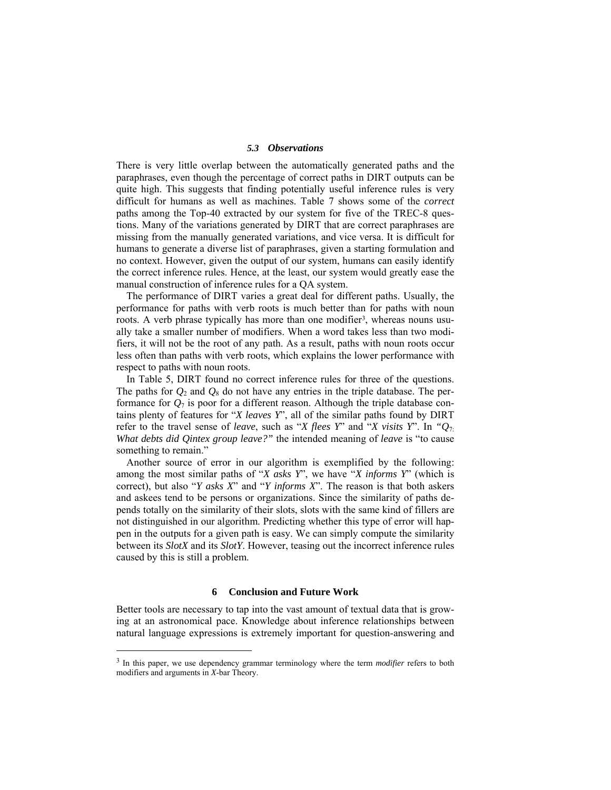## *5.3 Observations*

There is very little overlap between the automatically generated paths and the paraphrases, even though the percentage of correct paths in DIRT outputs can be quite high. This suggests that finding potentially useful inference rules is very difficult for humans as well as machines. Table 7 shows some of the *correct* paths among the Top-40 extracted by our system for five of the TREC-8 questions. Many of the variations generated by DIRT that are correct paraphrases are missing from the manually generated variations, and vice versa. It is difficult for humans to generate a diverse list of paraphrases, given a starting formulation and no context. However, given the output of our system, humans can easily identify the correct inference rules. Hence, at the least, our system would greatly ease the manual construction of inference rules for a QA system.

The performance of DIRT varies a great deal for different paths. Usually, the performance for paths with verb roots is much better than for paths with noun roots. A verb phrase typically has more than one modifier<sup>3</sup>, whereas nouns usually take a smaller number of modifiers. When a word takes less than two modifiers, it will not be the root of any path. As a result, paths with noun roots occur less often than paths with verb roots, which explains the lower performance with respect to paths with noun roots.

In Table 5, DIRT found no correct inference rules for three of the questions. The paths for  $Q_2$  and  $Q_8$  do not have any entries in the triple database. The performance for  $Q_7$  is poor for a different reason. Although the triple database contains plenty of features for "*X leaves Y*", all of the similar paths found by DIRT refer to the travel sense of *leave*, such as "*X* flees Y" and "*X* visits Y". In " $Q_7$ : *What debts did Qintex group leave?"* the intended meaning of *leave* is "to cause something to remain."

Another source of error in our algorithm is exemplified by the following: among the most similar paths of "*X asks Y*", we have "*X informs Y*" (which is correct), but also *<sup><i>'Y*</sup> asks X<sup>''</sup> and *''Y informs X*<sup>''</sup>. The reason is that both askers and askees tend to be persons or organizations. Since the similarity of paths depends totally on the similarity of their slots, slots with the same kind of fillers are not distinguished in our algorithm. Predicting whether this type of error will happen in the outputs for a given path is easy. We can simply compute the similarity between its *SlotX* and its *SlotY*. However, teasing out the incorrect inference rules caused by this is still a problem.

#### **6 Conclusion and Future Work**

Better tools are necessary to tap into the vast amount of textual data that is growing at an astronomical pace. Knowledge about inference relationships between natural language expressions is extremely important for question-answering and

l

<sup>3</sup> In this paper, we use dependency grammar terminology where the term *modifier* refers to both modifiers and arguments in *X*-bar Theory.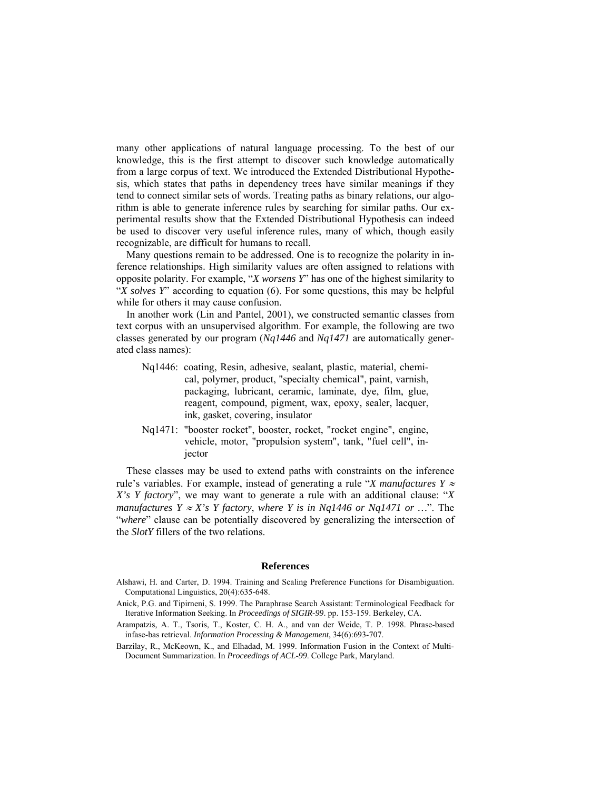many other applications of natural language processing. To the best of our knowledge, this is the first attempt to discover such knowledge automatically from a large corpus of text. We introduced the Extended Distributional Hypothesis, which states that paths in dependency trees have similar meanings if they tend to connect similar sets of words. Treating paths as binary relations, our algorithm is able to generate inference rules by searching for similar paths. Our experimental results show that the Extended Distributional Hypothesis can indeed be used to discover very useful inference rules, many of which, though easily recognizable, are difficult for humans to recall.

Many questions remain to be addressed. One is to recognize the polarity in inference relationships. High similarity values are often assigned to relations with opposite polarity. For example, "*X worsens Y*" has one of the highest similarity to *<sup>4</sup>X solves Y*<sup>*n*</sup> according to equation (6). For some questions, this may be helpful while for others it may cause confusion.

In another work (Lin and Pantel, 2001), we constructed semantic classes from text corpus with an unsupervised algorithm. For example, the following are two classes generated by our program (*Nq1446* and *Nq1471* are automatically generated class names):

- Nq1446: coating, Resin, adhesive, sealant, plastic, material, chemical, polymer, product, "specialty chemical", paint, varnish, packaging, lubricant, ceramic, laminate, dye, film, glue, reagent, compound, pigment, wax, epoxy, sealer, lacquer, ink, gasket, covering, insulator
- Nq1471: "booster rocket", booster, rocket, "rocket engine", engine, vehicle, motor, "propulsion system", tank, "fuel cell", injector

These classes may be used to extend paths with constraints on the inference rule's variables. For example, instead of generating a rule *<sup><i>X*</sup> manufactures Y  $\approx$ *X*'s *Y* factory", we may want to generate a rule with an additional clause: "*X manufactures Y*  $\approx$  *X's Y factory, where Y is in Nq1446 or Nq1471 or ...*". The *<sup>''</sup>where*" clause can be potentially discovered by generalizing the intersection of the *SlotY* fillers of the two relations.

#### **References**

- Alshawi, H. and Carter, D. 1994. Training and Scaling Preference Functions for Disambiguation. Computational Linguistics, 20(4):635-648.
- Anick, P.G. and Tipirneni, S. 1999. The Paraphrase Search Assistant: Terminological Feedback for Iterative Information Seeking. In *Proceedings of SIGIR-99*. pp. 153-159. Berkeley, CA.
- Arampatzis, A. T., Tsoris, T., Koster, C. H. A., and van der Weide, T. P. 1998. Phrase-based infase-bas retrieval. *Information Processing & Management*, 34(6):693-707.
- Barzilay, R., McKeown, K., and Elhadad, M. 1999. Information Fusion in the Context of Multi-Document Summarization. In *Proceedings of ACL-99*. College Park, Maryland.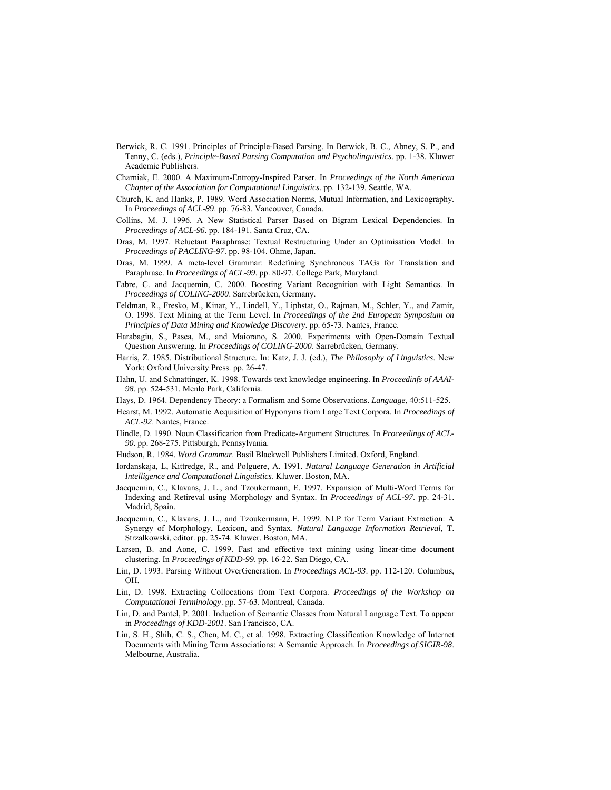- Berwick, R. C. 1991. Principles of Principle-Based Parsing. In Berwick, B. C., Abney, S. P., and Tenny, C. (eds.), *Principle-Based Parsing Computation and Psycholinguistics*. pp. 1-38. Kluwer Academic Publishers.
- Charniak, E. 2000. A Maximum-Entropy-Inspired Parser. In *Proceedings of the North American Chapter of the Association for Computational Linguistics*. pp. 132-139. Seattle, WA.
- Church, K. and Hanks, P. 1989. Word Association Norms, Mutual Information, and Lexicography. In *Proceedings of ACL-89*. pp. 76-83. Vancouver, Canada.
- Collins, M. J. 1996. A New Statistical Parser Based on Bigram Lexical Dependencies. In *Proceedings of ACL-96*. pp. 184-191. Santa Cruz, CA.
- Dras, M. 1997. Reluctant Paraphrase: Textual Restructuring Under an Optimisation Model. In *Proceedings of PACLING-97*. pp. 98-104. Ohme, Japan.
- Dras, M. 1999. A meta-level Grammar: Redefining Synchronous TAGs for Translation and Paraphrase. In *Proceedings of ACL-99*. pp. 80-97. College Park, Maryland.
- Fabre, C. and Jacquemin, C. 2000. Boosting Variant Recognition with Light Semantics. In Proceedings of COLING-2000. Sarrebrücken, Germany.
- Feldman, R., Fresko, M., Kinar, Y., Lindell, Y., Liphstat, O., Rajman, M., Schler, Y., and Zamir, O. 1998. Text Mining at the Term Level. In *Proceedings of the 2nd European Symposium on Principles of Data Mining and Knowledge Discovery*. pp. 65-73. Nantes, France.
- Harabagiu, S., Pasca, M., and Maiorano, S. 2000. Experiments with Open-Domain Textual Question Answering. In *Proceedings of COLING-2000*. Sarrebrücken, Germany.
- Harris, Z. 1985. Distributional Structure. In: Katz, J. J. (ed.), *The Philosophy of Linguistics*. New York: Oxford University Press. pp. 26-47.
- Hahn, U. and Schnattinger, K. 1998. Towards text knowledge engineering. In *Proceedinfs of AAAI-98*. pp. 524-531. Menlo Park, California.
- Hays, D. 1964. Dependency Theory: a Formalism and Some Observations. *Language*, 40:511-525.
- Hearst, M. 1992. Automatic Acquisition of Hyponyms from Large Text Corpora. In *Proceedings of ACL-92*. Nantes, France.
- Hindle, D. 1990. Noun Classification from Predicate-Argument Structures. In *Proceedings of ACL-90*. pp. 268-275. Pittsburgh, Pennsylvania.
- Hudson, R. 1984. *Word Grammar*. Basil Blackwell Publishers Limited. Oxford, England.
- Iordanskaja, L, Kittredge, R., and Polguere, A. 1991. *Natural Language Generation in Artificial Intelligence and Computational Linguistics*. Kluwer. Boston, MA.
- Jacquemin, C., Klavans, J. L., and Tzoukermann, E. 1997. Expansion of Multi-Word Terms for Indexing and Retireval using Morphology and Syntax. In *Proceedings of ACL-97*. pp. 24-31. Madrid, Spain.
- Jacquemin, C., Klavans, J. L., and Tzoukermann, E. 1999. NLP for Term Variant Extraction: A Synergy of Morphology, Lexicon, and Syntax. *Natural Language Information Retrieval*, T. Strzalkowski, editor. pp. 25-74. Kluwer. Boston, MA.
- Larsen, B. and Aone, C. 1999. Fast and effective text mining using linear-time document clustering. In *Proceedings of KDD-99*. pp. 16-22. San Diego, CA.
- Lin, D. 1993. Parsing Without OverGeneration. In *Proceedings ACL-93*. pp. 112-120. Columbus, OH.
- Lin, D. 1998. Extracting Collocations from Text Corpora. *Proceedings of the Workshop on Computational Terminology*. pp. 57-63. Montreal, Canada.
- Lin, D. and Pantel, P. 2001. Induction of Semantic Classes from Natural Language Text. To appear in *Proceedings of KDD-2001*. San Francisco, CA.
- Lin, S. H., Shih, C. S., Chen, M. C., et al. 1998. Extracting Classification Knowledge of Internet Documents with Mining Term Associations: A Semantic Approach. In *Proceedings of SIGIR-98*. Melbourne, Australia.